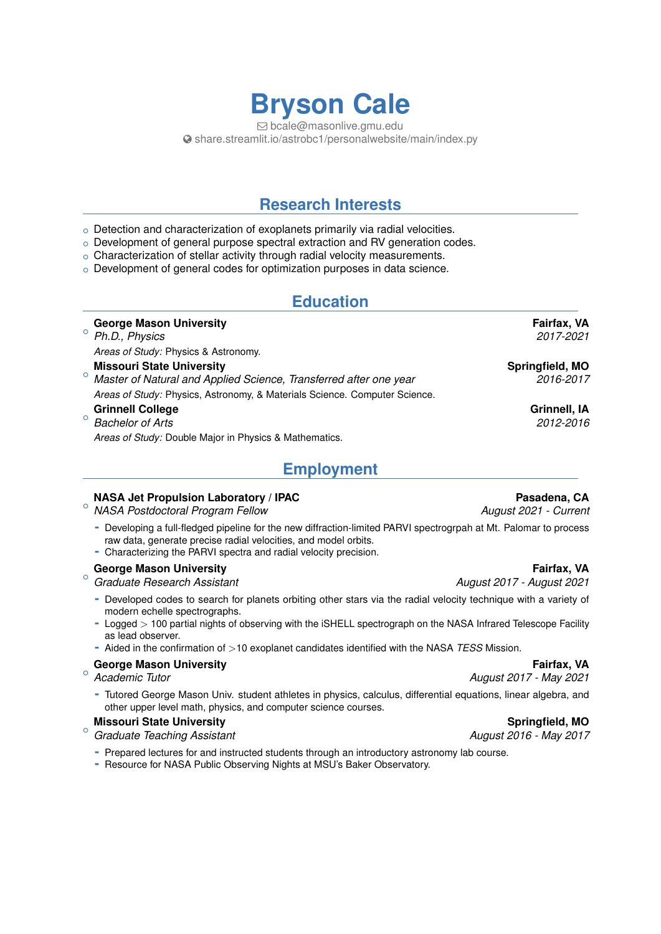# **Bryson Cale**

Q [bcale@masonlive.gmu.edu](mailto:bcale@masonlive.gmu.edu) [share.streamlit.io/astrobc1/personalwebsite/main/index.py](http://share.streamlit.io/astrobc1/personalwebsite/main/index.py)

## **Research Interests**

- $\circ$  Detection and characterization of exoplanets primarily via radial velocities.
- $\circ$  Development of general purpose spectral extraction and RV generation codes.
- o Characterization of stellar activity through radial velocity measurements.
- o Development of general codes for optimization purposes in data science.

## **Education**

|         | <b>George Mason University</b>                                                 | Fairfax, VA     |
|---------|--------------------------------------------------------------------------------|-----------------|
|         | <sup>o</sup> Ph.D., Physics                                                    | 2017-2021       |
|         | Areas of Study: Physics & Astronomy.                                           |                 |
|         | <b>Missouri State University</b>                                               | Springfield, MO |
|         | <sup>o</sup> Master of Natural and Applied Science, Transferred after one year | 2016-2017       |
|         | Areas of Study: Physics, Astronomy, & Materials Science. Computer Science.     |                 |
|         | <b>Grinnell College</b>                                                        | Grinnell, IA    |
| $\circ$ | <b>Bachelor of Arts</b>                                                        | 2012-2016       |
|         | Areas of Study: Double Major in Physics & Mathematics.                         |                 |

## **Employment**

#### **NASA Jet Propulsion Laboratory / IPAC Pasadena, CA**

- $\circ$ *NASA Postdoctoral Program Fellow August 2021 - Current*
	- **-** Developing a full-fledged pipeline for the new diffraction-limited PARVI spectrogrpah at Mt. Palomar to process raw data, generate precise radial velocities, and model orbits.
	- **-** Characterizing the PARVI spectra and radial velocity precision.

#### $\circ$ **George Mason University Fairfax, VA**

*Graduate Research Assistant August 2017 - August 2021*

- **-** Developed codes to search for planets orbiting other stars via the radial velocity technique with a variety of modern echelle spectrographs.
- **-** Logged *>* 100 partial nights of observing with the iSHELL spectrograph on the NASA Infrared Telescope Facility as lead observer.
- **-** Aided in the confirmation of *>*10 exoplanet candidates identified with the NASA *TESS* Mission.

#### **George Mason University Fairfax, VA** And The Control of Text Assembly The Control of Text Assembly The Control of Text Assembly The Control of Text Assembly The Control of Text Assembly The Control of Text Assembly The Co

Academic Tutor

**-** Tutored George Mason Univ. student athletes in physics, calculus, differential equations, linear algebra, and other upper level math, physics, and computer science courses.

#### $\circ$ **Missouri State University Springfield, MO**

*Graduate Teaching Assistant August 2016 - May 2017*

- **-** Prepared lectures for and instructed students through an introductory astronomy lab course.
- **-** Resource for NASA Public Observing Nights at MSU's Baker Observatory.

*Academic Tutor August 2017 - May 2021*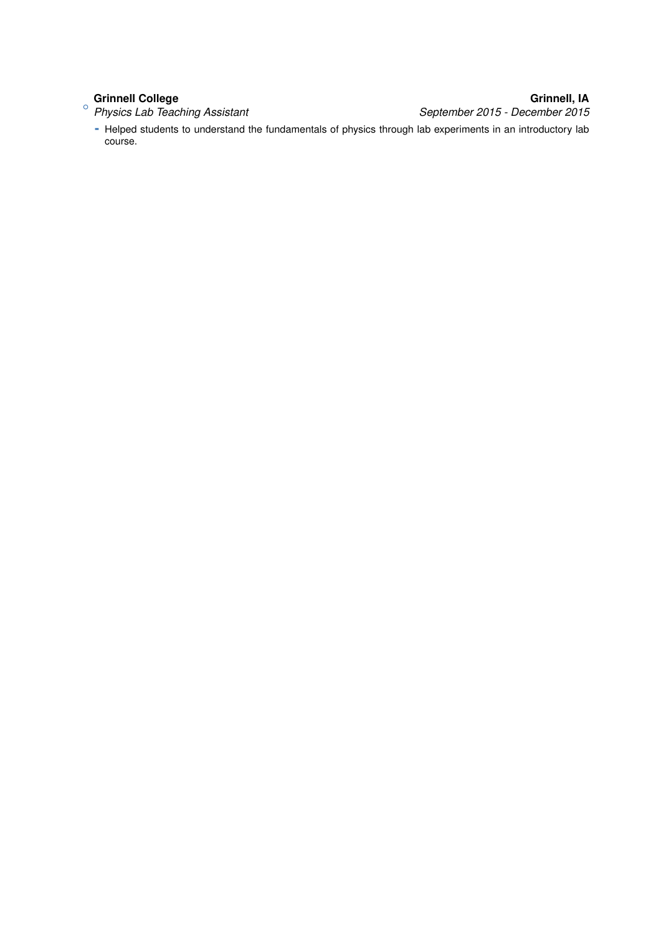+ **Grinnell College Grinnell, IA** *Physics Lab Teaching Assistant September 2015 - December 2015*

**-** Helped students to understand the fundamentals of physics through lab experiments in an introductory lab course.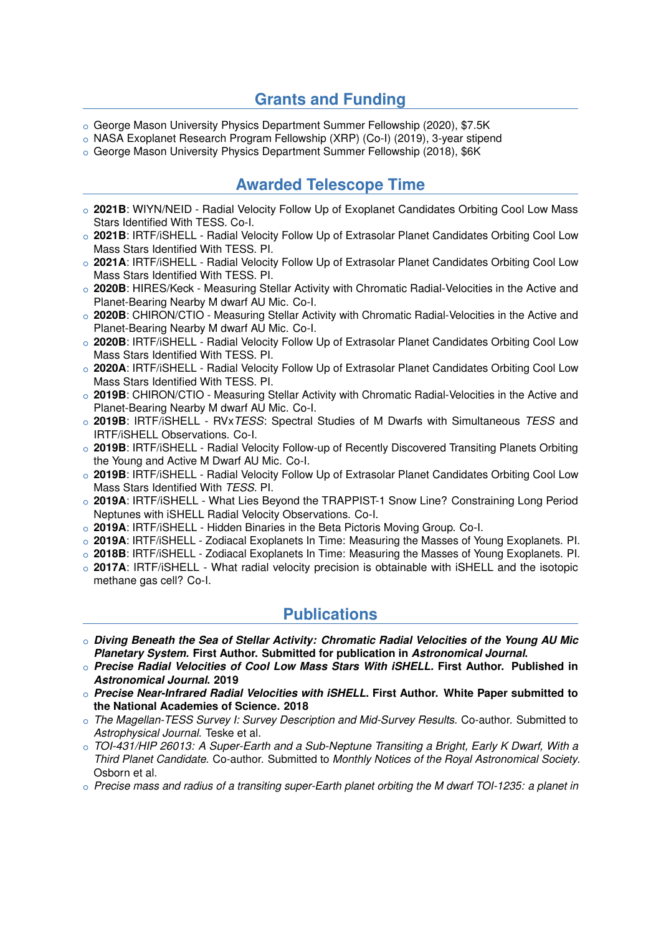## **Grants and Funding**

- o George Mason University Physics Department Summer Fellowship (2020), \$7.5K
- o NASA Exoplanet Research Program Fellowship (XRP) (Co-I) (2019), 3-year stipend

o George Mason University Physics Department Summer Fellowship (2018), \$6K

## **Awarded Telescope Time**

- o 2021B: WIYN/NEID Radial Velocity Follow Up of Exoplanet Candidates Orbiting Cool Low Mass Stars Identified With TESS. Co-I.
- o 2021B: IRTF/iSHELL Radial Velocity Follow Up of Extrasolar Planet Candidates Orbiting Cool Low Mass Stars Identified With TESS. PI.
- o 2021A: IRTF/iSHELL Radial Velocity Follow Up of Extrasolar Planet Candidates Orbiting Cool Low Mass Stars Identified With TESS. PI.
- $\circ$  2020B: HIRES/Keck Measuring Stellar Activity with Chromatic Radial-Velocities in the Active and Planet-Bearing Nearby M dwarf AU Mic. Co-I.
- o 2020B: CHIRON/CTIO Measuring Stellar Activity with Chromatic Radial-Velocities in the Active and Planet-Bearing Nearby M dwarf AU Mic. Co-I.
- o **2020B**: IRTF/iSHELL Radial Velocity Follow Up of Extrasolar Planet Candidates Orbiting Cool Low Mass Stars Identified With TESS. PI.
- o 2020A: IRTF/iSHELL Radial Velocity Follow Up of Extrasolar Planet Candidates Orbiting Cool Low Mass Stars Identified With TESS. PI.
- o 2019B: CHIRON/CTIO Measuring Stellar Activity with Chromatic Radial-Velocities in the Active and Planet-Bearing Nearby M dwarf AU Mic. Co-I.
- <sup>+</sup> **2019B**: IRTF/iSHELL RVx*TESS*: Spectral Studies of M Dwarfs with Simultaneous *TESS* and IRTF/iSHELL Observations. Co-I.
- o **2019B**: IRTF/iSHELL Radial Velocity Follow-up of Recently Discovered Transiting Planets Orbiting the Young and Active M Dwarf AU Mic. Co-I.
- o 2019B: IRTF/iSHELL Radial Velocity Follow Up of Extrasolar Planet Candidates Orbiting Cool Low Mass Stars Identified With *TESS*. PI.
- o **2019A**: IRTF/iSHELL What Lies Beyond the TRAPPIST-1 Snow Line? Constraining Long Period Neptunes with iSHELL Radial Velocity Observations. Co-I.
- o 2019A: IRTF/iSHELL Hidden Binaries in the Beta Pictoris Moving Group. Co-I.
- o 2019A: IRTF/iSHELL Zodiacal Exoplanets In Time: Measuring the Masses of Young Exoplanets. Pl.
- o 2018B: IRTF/iSHELL Zodiacal Exoplanets In Time: Measuring the Masses of Young Exoplanets. Pl.
- $\circ$  2017A: IRTF/iSHELL What radial velocity precision is obtainable with iSHELL and the isotopic methane gas cell? Co-I.

## **Publications**

- <sup>+</sup> *Diving Beneath the Sea of Stellar Activity: Chromatic Radial Velocities of the Young AU Mic Planetary System.* **First Author. Submitted for publication in** *Astronomical Journal***.**
- <sup>+</sup> *Precise Radial Velocities of Cool Low Mass Stars With iSHELL.* **First Author. Published in** *Astronomical Journal***. 2019**
- <sup>+</sup> *Precise Near-Infrared Radial Velocities with iSHELL***. First Author. White Paper submitted to the National Academies of Science. 2018**
- <sup>+</sup> *The Magellan-TESS Survey I: Survey Description and Mid-Survey Results.* Co-author. Submitted to *Astrophysical Journal*. Teske et al.
- <sup>+</sup> *TOI-431/HIP 26013: A Super-Earth and a Sub-Neptune Transiting a Bright, Early K Dwarf, With a Third Planet Candidate.* Co-author. Submitted to *Monthly Notices of the Royal Astronomical Society*. Osborn et al.
- <sup>+</sup> *Precise mass and radius of a transiting super-Earth planet orbiting the M dwarf TOI-1235: a planet in*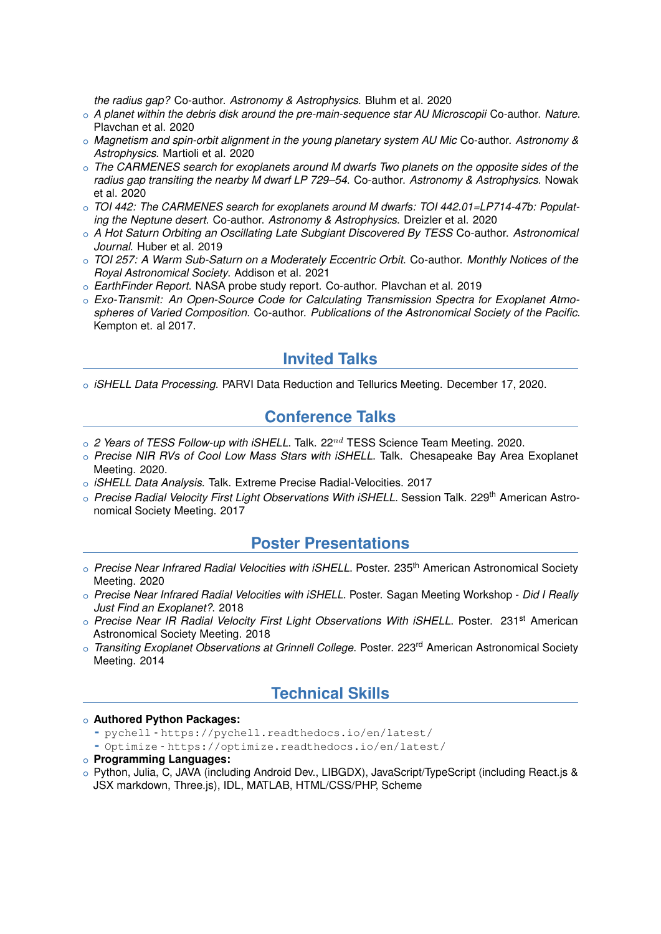*the radius gap?* Co-author. *Astronomy & Astrophysics*. Bluhm et al. 2020

- <sup>+</sup> *A planet within the debris disk around the pre-main-sequence star AU Microscopii* Co-author. *Nature*. Plavchan et al. 2020
- <sup>+</sup> *Magnetism and spin-orbit alignment in the young planetary system AU Mic* Co-author. *Astronomy & Astrophysics*. Martioli et al. 2020
- <sup>+</sup> *The CARMENES search for exoplanets around M dwarfs Two planets on the opposite sides of the radius gap transiting the nearby M dwarf LP 729–54*. Co-author. *Astronomy & Astrophysics*. Nowak et al. 2020
- <sup>+</sup> *TOI 442: The CARMENES search for exoplanets around M dwarfs: TOI 442.01=LP714-47b: Populating the Neptune desert*. Co-author. *Astronomy & Astrophysics*. Dreizler et al. 2020
- <sup>+</sup> *A Hot Saturn Orbiting an Oscillating Late Subgiant Discovered By TESS* Co-author. *Astronomical Journal*. Huber et al. 2019
- <sup>+</sup> *TOI 257: A Warm Sub-Saturn on a Moderately Eccentric Orbit*. Co-author. *Monthly Notices of the Royal Astronomical Society*. Addison et al. 2021
- <sup>+</sup> *EarthFinder Report*. NASA probe study report. Co-author. Plavchan et al. 2019
- o Exo-Transmit: An Open-Source Code for Calculating Transmission Spectra for Exoplanet Atmo*spheres of Varied Composition*. Co-author. *Publications of the Astronomical Society of the Pacific*. Kempton et. al 2017.

#### **Invited Talks**

<sup>+</sup> *iSHELL Data Processing.* PARVI Data Reduction and Tellurics Meeting. December 17, 2020.

#### **Conference Talks**

- <sup>+</sup> *2 Years of TESS Follow-up with iSHELL*. Talk. 22*nd* TESS Science Team Meeting. 2020.
- <sup>+</sup> *Precise NIR RVs of Cool Low Mass Stars with iSHELL*. Talk. Chesapeake Bay Area Exoplanet Meeting. 2020.
- <sup>+</sup> *iSHELL Data Analysis*. Talk. Extreme Precise Radial-Velocities. 2017
- o *Precise Radial Velocity First Light Observations With iSHELL*. Session Talk. 229<sup>th</sup> American Astronomical Society Meeting. 2017

#### **Poster Presentations**

- o Precise Near Infrared Radial Velocities with iSHELL. Poster. 235<sup>th</sup> American Astronomical Society Meeting. 2020
- <sup>+</sup> *Precise Near Infrared Radial Velocities with iSHELL*. Poster. Sagan Meeting Workshop *Did I Really Just Find an Exoplanet?*. 2018
- o Precise Near IR Radial Velocity First Light Observations With iSHELL. Poster. 231<sup>st</sup> American Astronomical Society Meeting. 2018
- o *Transiting Exoplanet Observations at Grinnell College*. Poster. 223<sup>rd</sup> American Astronomical Society Meeting. 2014

## **Technical Skills**

#### <sup>+</sup> **Authored Python Packages:**

- **-** pychell <https://pychell.readthedocs.io/en/latest/>
- **-** Optimize <https://optimize.readthedocs.io/en/latest/>
- <sup>+</sup> **Programming Languages:**
- o Python, Julia, C, JAVA (including Android Dev., LIBGDX), JavaScript/TypeScript (including React.js & JSX markdown, Three.js), IDL, MATLAB, HTML/CSS/PHP, Scheme